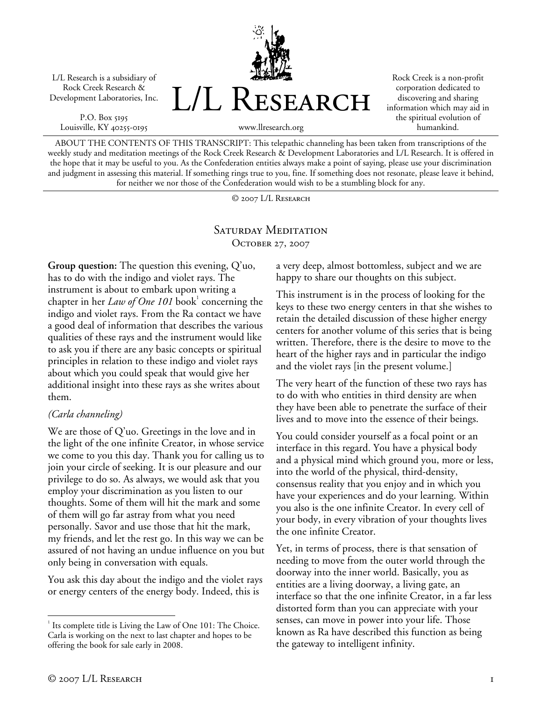L/L Research is a subsidiary of Rock Creek Research & Development Laboratories, Inc.

P.O. Box 5195 Louisville, KY 40255-0195



Rock Creek is a non-profit corporation dedicated to discovering and sharing information which may aid in the spiritual evolution of humankind.

ABOUT THE CONTENTS OF THIS TRANSCRIPT: This telepathic channeling has been taken from transcriptions of the weekly study and meditation meetings of the Rock Creek Research & Development Laboratories and L/L Research. It is offered in the hope that it may be useful to you. As the Confederation entities always make a point of saying, please use your discrimination and judgment in assessing this material. If something rings true to you, fine. If something does not resonate, please leave it behind, for neither we nor those of the Confederation would wish to be a stumbling block for any.

© 2007 L/L Research

### SATURDAY MEDITATION OCTOBER 27, 2007

**Group question:** The question this evening, Q'uo, has to do with the indigo and violet rays. The instrument is about to embark upon writing a chapter in her *Law of One 101* book<sup>1</sup> concerning the indigo and violet rays. From the Ra contact we have a good deal of information that describes the various qualities of these rays and the instrument would like to ask you if there are any basic concepts or spiritual principles in relation to these indigo and violet rays about which you could speak that would give her additional insight into these rays as she writes about them.

#### *(Carla channeling)*

We are those of Q'uo. Greetings in the love and in the light of the one infinite Creator, in whose service we come to you this day. Thank you for calling us to join your circle of seeking. It is our pleasure and our privilege to do so. As always, we would ask that you employ your discrimination as you listen to our thoughts. Some of them will hit the mark and some of them will go far astray from what you need personally. Savor and use those that hit the mark, my friends, and let the rest go. In this way we can be assured of not having an undue influence on you but only being in conversation with equals.

You ask this day about the indigo and the violet rays or energy centers of the energy body. Indeed, this is

a very deep, almost bottomless, subject and we are happy to share our thoughts on this subject.

This instrument is in the process of looking for the keys to these two energy centers in that she wishes to retain the detailed discussion of these higher energy centers for another volume of this series that is being written. Therefore, there is the desire to move to the heart of the higher rays and in particular the indigo and the violet rays [in the present volume.]

The very heart of the function of these two rays has to do with who entities in third density are when they have been able to penetrate the surface of their lives and to move into the essence of their beings.

You could consider yourself as a focal point or an interface in this regard. You have a physical body and a physical mind which ground you, more or less, into the world of the physical, third-density, consensus reality that you enjoy and in which you have your experiences and do your learning. Within you also is the one infinite Creator. In every cell of your body, in every vibration of your thoughts lives the one infinite Creator.

Yet, in terms of process, there is that sensation of needing to move from the outer world through the doorway into the inner world. Basically, you as entities are a living doorway, a living gate, an interface so that the one infinite Creator, in a far less distorted form than you can appreciate with your senses, can move in power into your life. Those known as Ra have described this function as being the gateway to intelligent infinity.

 $\overline{a}$ <sup>1</sup> Its complete title is Living the Law of One 101: The Choice. Carla is working on the next to last chapter and hopes to be offering the book for sale early in 2008.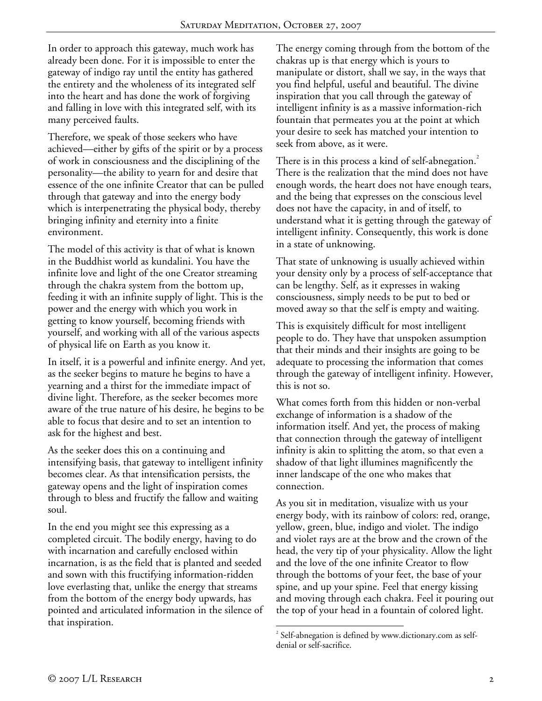In order to approach this gateway, much work has already been done. For it is impossible to enter the gateway of indigo ray until the entity has gathered the entirety and the wholeness of its integrated self into the heart and has done the work of forgiving and falling in love with this integrated self, with its many perceived faults.

Therefore, we speak of those seekers who have achieved—either by gifts of the spirit or by a process of work in consciousness and the disciplining of the personality—the ability to yearn for and desire that essence of the one infinite Creator that can be pulled through that gateway and into the energy body which is interpenetrating the physical body, thereby bringing infinity and eternity into a finite environment.

The model of this activity is that of what is known in the Buddhist world as kundalini. You have the infinite love and light of the one Creator streaming through the chakra system from the bottom up, feeding it with an infinite supply of light. This is the power and the energy with which you work in getting to know yourself, becoming friends with yourself, and working with all of the various aspects of physical life on Earth as you know it.

In itself, it is a powerful and infinite energy. And yet, as the seeker begins to mature he begins to have a yearning and a thirst for the immediate impact of divine light. Therefore, as the seeker becomes more aware of the true nature of his desire, he begins to be able to focus that desire and to set an intention to ask for the highest and best.

As the seeker does this on a continuing and intensifying basis, that gateway to intelligent infinity becomes clear. As that intensification persists, the gateway opens and the light of inspiration comes through to bless and fructify the fallow and waiting soul.

In the end you might see this expressing as a completed circuit. The bodily energy, having to do with incarnation and carefully enclosed within incarnation, is as the field that is planted and seeded and sown with this fructifying information-ridden love everlasting that, unlike the energy that streams from the bottom of the energy body upwards, has pointed and articulated information in the silence of that inspiration.

The energy coming through from the bottom of the chakras up is that energy which is yours to manipulate or distort, shall we say, in the ways that you find helpful, useful and beautiful. The divine inspiration that you call through the gateway of intelligent infinity is as a massive information-rich fountain that permeates you at the point at which your desire to seek has matched your intention to seek from above, as it were.

There is in this process a kind of self-abnegation.<sup>2</sup> There is the realization that the mind does not have enough words, the heart does not have enough tears, and the being that expresses on the conscious level does not have the capacity, in and of itself, to understand what it is getting through the gateway of intelligent infinity. Consequently, this work is done in a state of unknowing.

That state of unknowing is usually achieved within your density only by a process of self-acceptance that can be lengthy. Self, as it expresses in waking consciousness, simply needs to be put to bed or moved away so that the self is empty and waiting.

This is exquisitely difficult for most intelligent people to do. They have that unspoken assumption that their minds and their insights are going to be adequate to processing the information that comes through the gateway of intelligent infinity. However, this is not so.

What comes forth from this hidden or non-verbal exchange of information is a shadow of the information itself. And yet, the process of making that connection through the gateway of intelligent infinity is akin to splitting the atom, so that even a shadow of that light illumines magnificently the inner landscape of the one who makes that connection.

As you sit in meditation, visualize with us your energy body, with its rainbow of colors: red, orange, yellow, green, blue, indigo and violet. The indigo and violet rays are at the brow and the crown of the head, the very tip of your physicality. Allow the light and the love of the one infinite Creator to flow through the bottoms of your feet, the base of your spine, and up your spine. Feel that energy kissing and moving through each chakra. Feel it pouring out the top of your head in a fountain of colored light.

<u>.</u>

 $2^{2}$  Self-abnegation is defined by www.dictionary.com as selfdenial or self-sacrifice.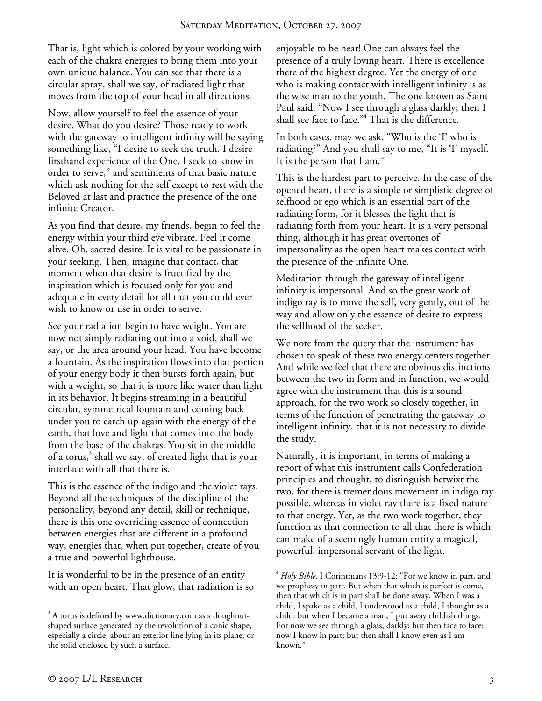That is, light which is colored by your working with each of the chakra energies to bring them into your own unique balance. You can see that there is a circular spray, shall we say, of radiated light that moves from the top of your head in all directions.

Now, allow yourself to feel the essence of your desire. What do you desire? Those ready to work with the gateway to intelligent infinity will be saying something like, "I desire to seek the truth. I desire firsthand experience of the One. I seek to know in order to serve," and sentiments of that basic nature which ask nothing for the self except to rest with the Beloved at last and practice the presence of the one infinite Creator.

As you find that desire, my friends, begin to feel the energy within your third eye vibrate. Feel it come alive. Oh, sacred desire! It is vital to be passionate in your seeking. Then, imagine that contact, that moment when that desire is fructified by the inspiration which is focused only for you and adequate in every detail for all that you could ever wish to know or use in order to serve.

See your radiation begin to have weight. You are now not simply radiating out into a void, shall we say, or the area around your head. You have become a fountain. As the inspiration flows into that portion of your energy body it then bursts forth again, but with a weight, so that it is more like water than light in its behavior. It begins streaming in a beautiful circular, symmetrical fountain and coming back under you to catch up again with the energy of the earth, that love and light that comes into the body from the base of the chakras. You sit in the middle of a torus,<sup>3</sup> shall we say, of created light that is your interface with all that there is.

This is the essence of the indigo and the violet rays. Beyond all the techniques of the discipline of the personality, beyond any detail, skill or technique, there is this one overriding essence of connection between energies that are different in a profound way, energies that, when put together, create of you a true and powerful lighthouse.

It is wonderful to be in the presence of an entity with an open heart. That glow, that radiation is so enjoyable to be near! One can always feel the presence of a truly loving heart. There is excellence there of the highest degree. Yet the energy of one who is making contact with intelligent infinity is as the wise man to the youth. The one known as Saint Paul said, "Now I see through a glass darkly; then I shall see face to face."<sup>4</sup> That is the difference.

In both cases, may we ask, "Who is the 'I' who is radiating?" And you shall say to me, "It is 'I' myself. It is the person that I am."

This is the hardest part to perceive. In the case of the opened heart, there is a simple or simplistic degree of selfhood or ego which is an essential part of the radiating form, for it blesses the light that is radiating forth from your heart. It is a very personal thing, although it has great overtones of impersonality as the open heart makes contact with the presence of the infinite One.

Meditation through the gateway of intelligent infinity is impersonal. And so the great work of indigo ray is to move the self, very gently, out of the way and allow only the essence of desire to express the selfhood of the seeker.

We note from the query that the instrument has chosen to speak of these two energy centers together. And while we feel that there are obvious distinctions between the two in form and in function, we would agree with the instrument that this is a sound approach, for the two work so closely together, in terms of the function of penetrating the gateway to intelligent infinity, that it is not necessary to divide the study.

Naturally, it is important, in terms of making a report of what this instrument calls Confederation principles and thought, to distinguish betwixt the two, for there is tremendous movement in indigo ray possible, whereas in violet ray there is a fixed nature to that energy. Yet, as the two work together, they function as that connection to all that there is which can make of a seemingly human entity a magical, powerful, impersonal servant of the light.

 $\overline{a}$ 

 $\overline{a}$ 

<sup>&</sup>lt;sup>3</sup> A torus is defined by www.dictionary.com as a doughnutshaped surface generated by the revolution of a conic shape, especially a circle, about an exterior line lying in its plane, or the solid enclosed by such a surface.

<sup>4</sup> *Holy Bible*, I Corinthians 13:9-12: "For we know in part, and we prophesy in part. But when that which is perfect is come, then that which is in part shall be done away. When I was a child, I spake as a child, I understood as a child, I thought as a child: but when I became a man, I put away childish things. For now we see through a glass, darkly; but then face to face: now I know in part; but then shall I know even as I am known."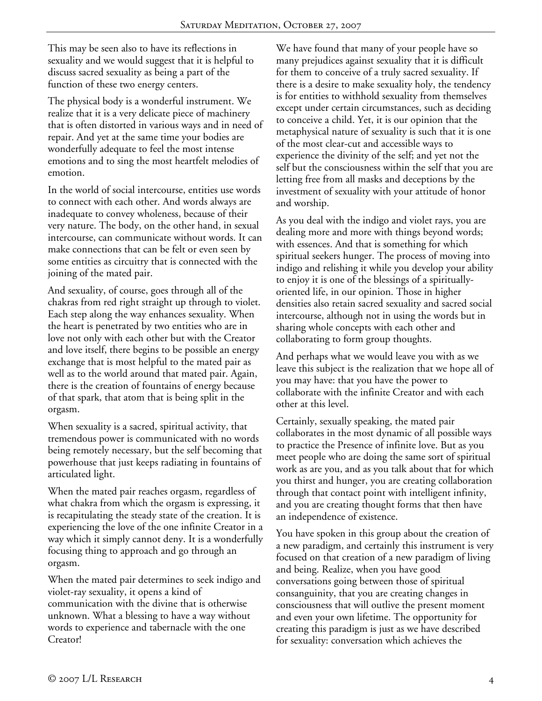This may be seen also to have its reflections in sexuality and we would suggest that it is helpful to discuss sacred sexuality as being a part of the function of these two energy centers.

The physical body is a wonderful instrument. We realize that it is a very delicate piece of machinery that is often distorted in various ways and in need of repair. And yet at the same time your bodies are wonderfully adequate to feel the most intense emotions and to sing the most heartfelt melodies of emotion.

In the world of social intercourse, entities use words to connect with each other. And words always are inadequate to convey wholeness, because of their very nature. The body, on the other hand, in sexual intercourse, can communicate without words. It can make connections that can be felt or even seen by some entities as circuitry that is connected with the joining of the mated pair.

And sexuality, of course, goes through all of the chakras from red right straight up through to violet. Each step along the way enhances sexuality. When the heart is penetrated by two entities who are in love not only with each other but with the Creator and love itself, there begins to be possible an energy exchange that is most helpful to the mated pair as well as to the world around that mated pair. Again, there is the creation of fountains of energy because of that spark, that atom that is being split in the orgasm.

When sexuality is a sacred, spiritual activity, that tremendous power is communicated with no words being remotely necessary, but the self becoming that powerhouse that just keeps radiating in fountains of articulated light.

When the mated pair reaches orgasm, regardless of what chakra from which the orgasm is expressing, it is recapitulating the steady state of the creation. It is experiencing the love of the one infinite Creator in a way which it simply cannot deny. It is a wonderfully focusing thing to approach and go through an orgasm.

When the mated pair determines to seek indigo and violet-ray sexuality, it opens a kind of communication with the divine that is otherwise unknown. What a blessing to have a way without words to experience and tabernacle with the one Creator!

We have found that many of your people have so many prejudices against sexuality that it is difficult for them to conceive of a truly sacred sexuality. If there is a desire to make sexuality holy, the tendency is for entities to withhold sexuality from themselves except under certain circumstances, such as deciding to conceive a child. Yet, it is our opinion that the metaphysical nature of sexuality is such that it is one of the most clear-cut and accessible ways to experience the divinity of the self; and yet not the self but the consciousness within the self that you are letting free from all masks and deceptions by the investment of sexuality with your attitude of honor and worship.

As you deal with the indigo and violet rays, you are dealing more and more with things beyond words; with essences. And that is something for which spiritual seekers hunger. The process of moving into indigo and relishing it while you develop your ability to enjoy it is one of the blessings of a spirituallyoriented life, in our opinion. Those in higher densities also retain sacred sexuality and sacred social intercourse, although not in using the words but in sharing whole concepts with each other and collaborating to form group thoughts.

And perhaps what we would leave you with as we leave this subject is the realization that we hope all of you may have: that you have the power to collaborate with the infinite Creator and with each other at this level.

Certainly, sexually speaking, the mated pair collaborates in the most dynamic of all possible ways to practice the Presence of infinite love. But as you meet people who are doing the same sort of spiritual work as are you, and as you talk about that for which you thirst and hunger, you are creating collaboration through that contact point with intelligent infinity, and you are creating thought forms that then have an independence of existence.

You have spoken in this group about the creation of a new paradigm, and certainly this instrument is very focused on that creation of a new paradigm of living and being. Realize, when you have good conversations going between those of spiritual consanguinity, that you are creating changes in consciousness that will outlive the present moment and even your own lifetime. The opportunity for creating this paradigm is just as we have described for sexuality: conversation which achieves the